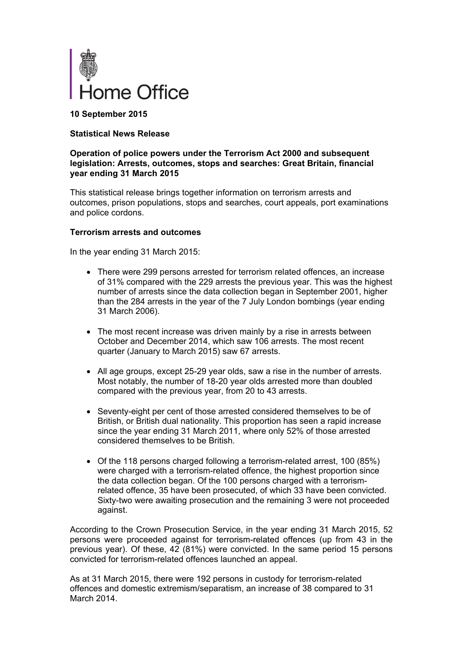

**10 September 2015**

### **Statistical News Release**

### **Operation of police powers under the Terrorism Act 2000 and subsequent legislation: Arrests, outcomes, stops and searches: Great Britain, financial year ending 31 March 2015**

This statistical release brings together information on terrorism arrests and outcomes, prison populations, stops and searches, court appeals, port examinations and police cordons.

### **Terrorism arrests and outcomes**

In the year ending 31 March 2015:

- There were 299 persons arrested for terrorism related offences, an increase of 31% compared with the 229 arrests the previous year. This was the highest number of arrests since the data collection began in September 2001, higher than the 284 arrests in the year of the 7 July London bombings (year ending 31 March 2006).
- The most recent increase was driven mainly by a rise in arrests between October and December 2014, which saw 106 arrests. The most recent quarter (January to March 2015) saw 67 arrests.
- All age groups, except 25-29 year olds, saw a rise in the number of arrests. Most notably, the number of 18-20 year olds arrested more than doubled compared with the previous year, from 20 to 43 arrests.
- Seventy-eight per cent of those arrested considered themselves to be of British, or British dual nationality. This proportion has seen a rapid increase since the year ending 31 March 2011, where only 52% of those arrested considered themselves to be British.
- Of the 118 persons charged following a terrorism-related arrest, 100 (85%) were charged with a terrorism-related offence, the highest proportion since the data collection began. Of the 100 persons charged with a terrorismrelated offence, 35 have been prosecuted, of which 33 have been convicted. Sixty-two were awaiting prosecution and the remaining 3 were not proceeded against.

According to the Crown Prosecution Service, in the year ending 31 March 2015, 52 persons were proceeded against for terrorism-related offences (up from 43 in the previous year). Of these, 42 (81%) were convicted. In the same period 15 persons convicted for terrorism-related offences launched an appeal.

As at 31 March 2015, there were 192 persons in custody for terrorism-related offences and domestic extremism/separatism, an increase of 38 compared to 31 March 2014.